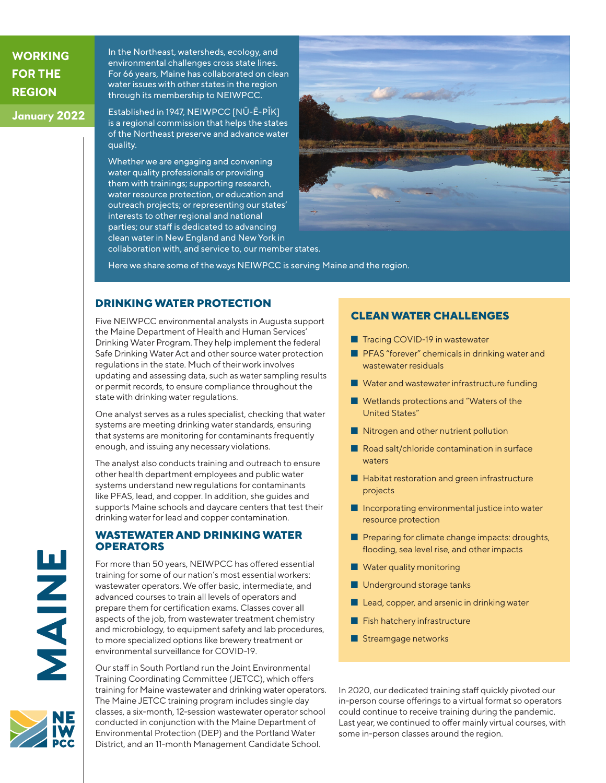**WORKING FOR THE REGION**

**January 2022**

In the Northeast, watersheds, ecology, and environmental challenges cross state lines. For 66 years, Maine has collaborated on clean water issues with other states in the region through its membership to NEIWPCC.

Established in 1947, NEIWPCC [NŪ-Ē-PĬK] is a regional commission that helps the states of the Northeast preserve and advance water quality.

Whether we are engaging and convening water quality professionals or providing them with trainings; supporting research, water resource protection, or education and outreach projects; or representing our states' interests to other regional and national parties; our staff is dedicated to advancing clean water in New England and New York in collaboration with, and service to, our member states.



Here we share some of the ways NEIWPCC is serving Maine and the region.

### **DRINKING WATER PROTECTION**

Five NEIWPCC environmental analysts in Augusta support the Maine Department of Health and Human Services' Drinking Water Program. They help implement the federal Safe Drinking Water Act and other source water protection regulations in the state. Much of their work involves updating and assessing data, such as water sampling results or permit records, to ensure compliance throughout the state with drinking water regulations.

One analyst serves as a rules specialist, checking that water systems are meeting drinking water standards, ensuring that systems are monitoring for contaminants frequently enough, and issuing any necessary violations.

The analyst also conducts training and outreach to ensure other health department employees and public water systems understand new regulations for contaminants like PFAS, lead, and copper. In addition, she guides and supports Maine schools and daycare centers that test their drinking water for lead and copper contamination.

#### **WASTEWATER AND DRINKING WATER OPERATORS**

For more than 50 years, NEIWPCC has offered essential training for some of our nation's most essential workers: wastewater operators. We offer basic, intermediate, and advanced courses to train all levels of operators and prepare them for certification exams. Classes cover all aspects of the job, from wastewater treatment chemistry and microbiology, to equipment safety and lab procedures, to more specialized options like brewery treatment or environmental surveillance for COVID-19.

Our staff in South Portland run the Joint Environmental Training Coordinating Committee (JETCC), which offers training for Maine wastewater and drinking water operators. The Maine JETCC training program includes single day classes, a six-month, 12-session wastewater operator school conducted in conjunction with the Maine Department of Environmental Protection (DEP) and the Portland Water District, and an 11-month Management Candidate School.

## **CLEAN WATER CHALLENGES**

- Tracing COVID-19 in wastewater
- PFAS "forever" chemicals in drinking water and wastewater residuals
- Water and wastewater infrastructure funding
- Wetlands protections and "Waters of the United States"
- Nitrogen and other nutrient pollution
- Road salt/chloride contamination in surface waters
- Habitat restoration and green infrastructure projects
- Incorporating environmental justice into water resource protection
- Preparing for climate change impacts: droughts, flooding, sea level rise, and other impacts
- Water quality monitoring
- Underground storage tanks
- Lead, copper, and arsenic in drinking water
- Fish hatchery infrastructure
- Streamgage networks

In 2020, our dedicated training staff quickly pivoted our in-person course offerings to a virtual format so operators could continue to receive training during the pandemic. Last year, we continued to offer mainly virtual courses, with some in-person classes around the region.

**MAINE**